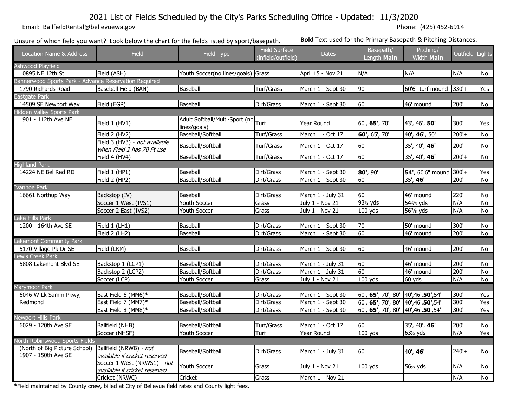# 2021 List of Fields Scheduled by the City's Parks Scheduling Office - Updated: 11/3/2020

 [Email: BallfieldRental@be](mailto:BallfieldRental@bellevuewa.gov%20%20%20%20%20%20%20%20%20(425)%20452-6914)llevuewa.gov Phone: (425) 452-6914

Unsure of which field you want? Look below the chart for the fields listed by sport/basepath. **Bold** Text used for the Primary Basepath & Pitching Distances.

| Location Name & Address                               | Field                                                        | Field Type                                     | <b>Field Surface</b><br>(infield/outfield) | <b>Dates</b>      | Basepath/<br>Length Main              | Pitching/<br><b>Width Main</b>     | Outfield Lights |                |
|-------------------------------------------------------|--------------------------------------------------------------|------------------------------------------------|--------------------------------------------|-------------------|---------------------------------------|------------------------------------|-----------------|----------------|
| <b>Ashwood Playfield</b>                              |                                                              |                                                |                                            |                   |                                       |                                    |                 |                |
| 10895 NE 12th St                                      | Field (ASH)                                                  | Youth Soccer(no lines/goals) Grass             |                                            | April 15 - Nov 21 | N/A                                   | N/A                                | N/A             | No             |
| Bannerwood Sports Park - Advance Reservation Required |                                                              |                                                |                                            |                   |                                       |                                    |                 |                |
| 1790 Richards Road                                    | Baseball Field (BAN)                                         | Baseball                                       | Turf/Grass                                 | March 1 - Sept 30 | 90'                                   | 60'6" turf mound                   | $330'+$         | Yes            |
| Eastgate Park                                         |                                                              |                                                |                                            |                   |                                       |                                    |                 |                |
| 14509 SE Newport Way                                  | Field (EGP)                                                  | Baseball                                       | Dirt/Grass                                 | March 1 - Sept 30 | 60'                                   | 46' mound                          | 200'            | No             |
| Hidden Valley Sports Park                             |                                                              |                                                |                                            |                   |                                       |                                    |                 |                |
| 1901 - 112th Ave NE                                   | Field 1 (HV1)                                                | Adult Softball/Multi-Sport (no<br>lines/goals) | Turf                                       | Year Round        | 60', 65', 70'                         | 43', 46', 50'                      | 300'            | Yes            |
|                                                       | Field 2 (HV2)                                                | Baseball/Softball                              | Turf/Grass                                 | March 1 - Oct 17  | 60', 65', 70'                         | 40', 46', 50'                      | $200'+$         | No             |
|                                                       | Field 3 (HV3) - not available<br>when Field 2 has 70 Ft use  | Baseball/Softball                              | Turf/Grass                                 | March 1 - Oct 17  | 60'                                   | 35', 40', 46'                      | 200'            | No             |
|                                                       | Field 4 (HV4)                                                | Baseball/Softball                              | Turf/Grass                                 | March 1 - Oct 17  | 60'                                   | 35', 40', 46'                      | $200'+$         | No             |
| <b>Highland Park</b>                                  |                                                              |                                                |                                            |                   |                                       |                                    |                 |                |
| 14224 NE Bel Red RD                                   | Field 1 (HP1)                                                | Baseball                                       | Dirt/Grass                                 | March 1 - Sept 30 | 80', 90'                              | 54', 60'6" mound 300'+             |                 | Yes            |
|                                                       | Field 2 (HP2)                                                | Baseball/Softball                              | Dirt/Grass                                 | March 1 - Sept 30 | 60'                                   | 35', 46'                           | 200'            | $\overline{N}$ |
| vanhoe Park                                           |                                                              |                                                |                                            |                   |                                       |                                    |                 |                |
| 16661 Northup Way                                     | Backstop (IV)                                                | Baseball                                       | Dirt/Grass                                 | March 1 - July 31 | 60'                                   | 46' mound                          | 220'            | No             |
|                                                       | Soccer 1 West (IVS1)                                         | Youth Soccer                                   | Grass                                      | July 1 - Nov 21   | 93 <sup>%</sup> yds                   | 54 <sup>2</sup> / <sub>3</sub> yds | N/A             | No             |
|                                                       | Soccer 2 East (IVS2)                                         | Youth Soccer                                   | Grass                                      | July 1 - Nov 21   | $100$ yds                             | 56 <sup>2</sup> / <sub>3</sub> yds | N/A             | No             |
| Lake Hills Park                                       |                                                              |                                                |                                            |                   |                                       |                                    |                 |                |
| 1200 - 164th Ave SE                                   | Field 1 (LH1)                                                | Baseball                                       | Dirt/Grass                                 | March 1 - Sept 30 | 70'                                   | 50' mound                          | 300'            | No             |
|                                                       | Field 2 (LH2)                                                | Baseball                                       | Dirt/Grass                                 | March 1 - Sept 30 | 60'                                   | 46' mound                          | 200'            | No             |
| akemont Community Park                                |                                                              |                                                |                                            |                   |                                       |                                    |                 |                |
| 5170 Village Pk Dr SE                                 | Field (LKM)                                                  | Baseball                                       | Dirt/Grass                                 | March 1 - Sept 30 | 60'                                   | 46' mound                          | 200'            | No             |
| Lewis Creek Park                                      |                                                              |                                                |                                            |                   |                                       |                                    |                 |                |
| 5808 Lakemont Blvd SE                                 | Backstop 1 (LCP1)                                            | Baseball/Softball                              | Dirt/Grass                                 | March 1 - July 31 | 60'                                   | 46' mound                          | 200'            | No             |
|                                                       | Backstop 2 (LCP2)                                            | Baseball/Softball                              | Dirt/Grass                                 | March 1 - July 31 | 60'                                   | 46' mound                          | 200'            | No             |
|                                                       | Soccer (LCP)                                                 | Youth Soccer                                   | Grass                                      | July 1 - Nov 21   | $100$ yds                             | 60 yds                             | N/A             | No             |
| Marymoor Park                                         |                                                              |                                                |                                            |                   |                                       |                                    |                 |                |
| 6046 W Lk Samm Pkwy,                                  | East Field 6 (MM6)*                                          | Baseball/Softball                              | Dirt/Grass                                 | March 1 - Sept 30 | 60', 65', 70', 80'                    | 40',46',50',54'                    | 300'            | Yes            |
| Redmond                                               | East Field 7 (MM7)*                                          | Baseball/Softball                              | Dirt/Grass                                 | March 1 - Sept 30 | 60', 65', 70', 80'                    | 40',46',50',54'                    | 300'            | Yes            |
|                                                       | East Field 8 (MM8)*                                          | Baseball/Softball                              | Dirt/Grass                                 | March 1 - Sept 30 | 60', 65', 70', 80' 40', 46', 50', 54' |                                    | 300'            | Yes            |
| <b>Newport Hills Park</b>                             |                                                              |                                                |                                            |                   |                                       |                                    |                 |                |
| 6029 - 120th Ave SE                                   | Ballfield (NHB)                                              | Baseball/Softball                              | Turf/Grass                                 | March 1 - Oct 17  | 60'                                   | 35', 40', 46'                      | 200'            | No             |
|                                                       | Soccer (NHSF)                                                | Youth Soccer                                   | Turf                                       | Year Round        | 100 yds                               | 63 <sup>%</sup> yds                | N/A             | Yes            |
| <b>North Robinswood Sports Fields</b>                 |                                                              |                                                |                                            |                   |                                       |                                    |                 |                |
| (North of Big Picture School)                         | Ballfield (NRWB) - not                                       | Baseball/Softball                              | Dirt/Grass                                 | March 1 - July 31 | 60'                                   | 40', 46'                           | $240'+$         | No             |
| 1907 - 150th Ave SE                                   | available if cricket reserved                                |                                                |                                            |                   |                                       |                                    |                 |                |
|                                                       | Soccer 1 West (NRWS1) - not<br>available if cricket reserved | Youth Soccer                                   | Grass                                      | July 1 - Nov 21   | $100$ yds                             | 56% yds                            | N/A             | No             |
|                                                       | Cricket (NRWC)                                               | Cricket                                        | Grass                                      | March 1 - Nov 21  |                                       |                                    | N/A             | No             |

\*Field maintained by County crew, billed at City of Bellevue field rates and County light fees.